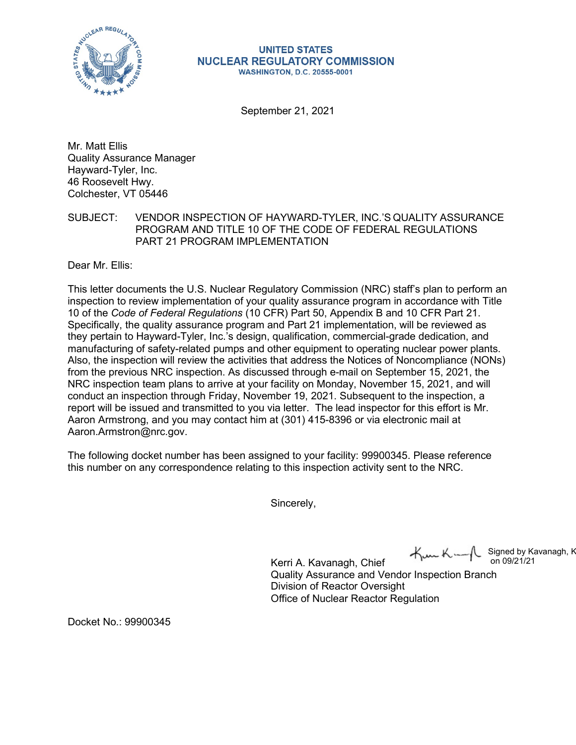

## **UNITED STATES NUCLEAR REGULATORY COMMISSION WASHINGTON, D.C. 20555-0001**

September 21, 2021

Mr. Matt Ellis Quality Assurance Manager Hayward-Tyler, Inc. 46 Roosevelt Hwy. Colchester, VT 05446

SUBJECT: VENDOR INSPECTION OF HAYWARD-TYLER, INC.'S QUALITY ASSURANCE PROGRAM AND TITLE 10 OF THE CODE OF FEDERAL REGULATIONS PART 21 PROGRAM IMPLEMENTATION

Dear Mr. Ellis:

This letter documents the U.S. Nuclear Regulatory Commission (NRC) staff's plan to perform an inspection to review implementation of your quality assurance program in accordance with Title 10 of the *Code of Federal Regulations* (10 CFR) Part 50, Appendix B and 10 CFR Part 21. Specifically, the quality assurance program and Part 21 implementation, will be reviewed as they pertain to Hayward-Tyler, Inc.'s design, qualification, commercial-grade dedication, and manufacturing of safety-related pumps and other equipment to operating nuclear power plants. Also, the inspection will review the activities that address the Notices of Noncompliance (NONs) from the previous NRC inspection. As discussed through e-mail on September 15, 2021, the NRC inspection team plans to arrive at your facility on Monday, November 15, 2021, and will conduct an inspection through Friday, November 19, 2021. Subsequent to the inspection, a report will be issued and transmitted to you via letter. The lead inspector for this effort is Mr. Aaron Armstrong, and you may contact him at (301) 415-8396 or via electronic mail at [Aaron.Armstron@nrc.gov.](mailto:Aaron.Armstron@nrc.gov)

The following docket number has been assigned to your facility: 99900345. Please reference this number on any correspondence relating to this inspection activity sent to the NRC.

Sincerely,

 $K_{\text{max}} K_{\text{max}}$  Signed by Kavanagh, K<br>on 09/21/21

Kerri A. Kavanagh, Chief Quality Assurance and Vendor Inspection Branch Division of Reactor Oversight Office of Nuclear Reactor Regulation

Docket No.: 99900345